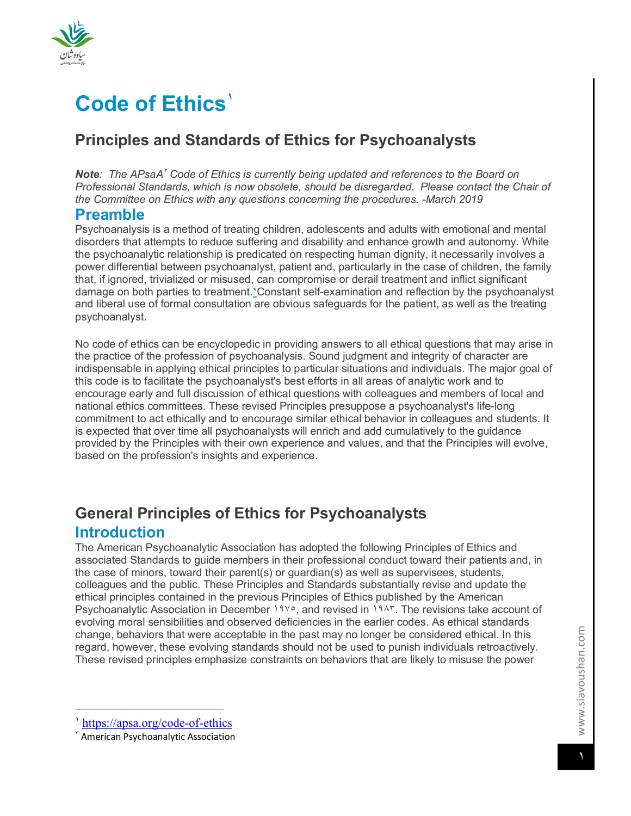

# **Code of Ethics**<sup>'</sup>

# **Principles and Standards of Ethics for Psychoanalysts**

**Note**: The APsaA<sup>†</sup> Code of Ethics is currently being updated and references to the Board on *Professional Standards, which is now obsolete, should be disregarded. Please contact the Chair of the Committee on Ethics with any questions concerning the procedures. -March 2019*

### **Preamble**

Psychoanalysis is a method of treating children, adolescents and adults with emotional and mental disorders that attempts to reduce suffering and disability and enhance growth and autonomy. While the psychoanalytic relationship is predicated on respecting human dignity, it necessarily involves a power differential between psychoanalyst, patient and, particularly in the case of children, the family that, if ignored, trivialized or misused, can compromise or derail treatment and inflict significant damage on both parties to treatment.\*Constant self-examination and reflection by the psychoanalyst and liberal use of formal consultation are obvious safeguards for the patient, as well as the treating psychoanalyst.

No code of ethics can be encyclopedic in providing answers to all ethical questions that may arise in the practice of the profession of psychoanalysis. Sound judgment and integrity of character are indispensable in applying ethical principles to particular situations and individuals. The major goal of this code is to facilitate the psychoanalyst's best efforts in all areas of analytic work and to encourage early and full discussion of ethical questions with colleagues and members of local and national ethics committees. These revised Principles presuppose a psychoanalyst's life-long commitment to act ethically and to encourage similar ethical behavior in colleagues and students. It is expected that over time all psychoanalysts will enrich and add cumulatively to the guidance provided by the Principles with their own experience and values, and that the Principles will evolve, based on the profession's insights and experience.

# **General Principles of Ethics for Psychoanalysts Introduction**

The American Psychoanalytic Association has adopted the following Principles of Ethics and associated Standards to guide members in their professional conduct toward their patients and, in the case of minors, toward their parent(s) or guardian(s) as well as supervisees, students, colleagues and the public. These Principles and Standards substantially revise and update the ethical principles contained in the previous Principles of Ethics published by the American Psychoanalytic Association in December ١٩٧٥, and revised in ١٩٨٣. The revisions take account of evolving moral sensibilities and observed deficiencies in the earlier codes. As ethical standards change, behaviors that were acceptable in the past may no longer be considered ethical. In this regard, however, these evolving standards should not be used to punish individuals retroactively. These revised principles emphasize constraints on behaviors that are likely to misuse the power

 $\overline{a}$ 

<sup>١</sup> https://apsa.org/code-of-ethics

<sup>٢</sup> American Psychoanalytic Association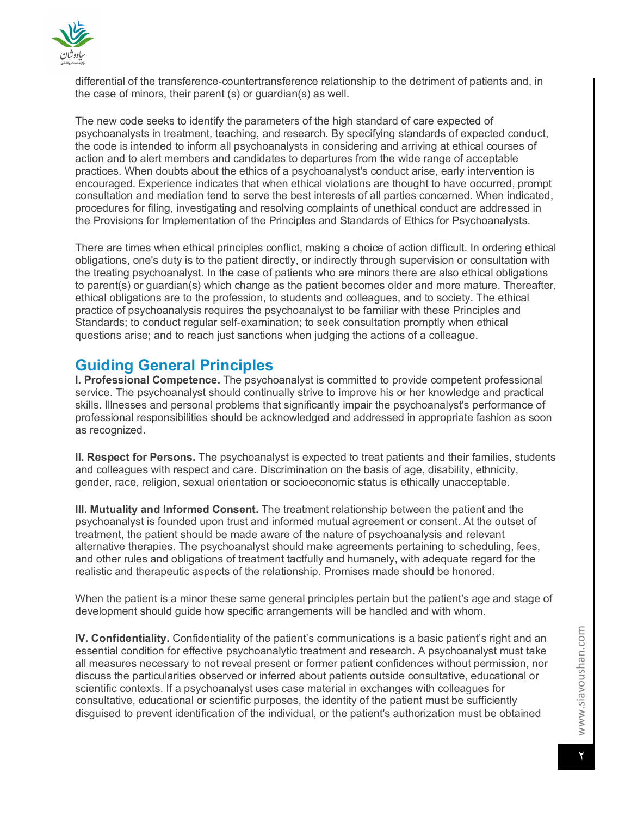

differential of the transference-countertransference relationship to the detriment of patients and, in the case of minors, their parent (s) or guardian(s) as well.

The new code seeks to identify the parameters of the high standard of care expected of psychoanalysts in treatment, teaching, and research. By specifying standards of expected conduct, the code is intended to inform all psychoanalysts in considering and arriving at ethical courses of action and to alert members and candidates to departures from the wide range of acceptable practices. When doubts about the ethics of a psychoanalyst's conduct arise, early intervention is encouraged. Experience indicates that when ethical violations are thought to have occurred, prompt consultation and mediation tend to serve the best interests of all parties concerned. When indicated, procedures for filing, investigating and resolving complaints of unethical conduct are addressed in the Provisions for Implementation of the Principles and Standards of Ethics for Psychoanalysts.

There are times when ethical principles conflict, making a choice of action difficult. In ordering ethical obligations, one's duty is to the patient directly, or indirectly through supervision or consultation with the treating psychoanalyst. In the case of patients who are minors there are also ethical obligations to parent(s) or guardian(s) which change as the patient becomes older and more mature. Thereafter, ethical obligations are to the profession, to students and colleagues, and to society. The ethical practice of psychoanalysis requires the psychoanalyst to be familiar with these Principles and Standards; to conduct regular self-examination; to seek consultation promptly when ethical questions arise; and to reach just sanctions when judging the actions of a colleague.

# **Guiding General Principles**

**I. Professional Competence.** The psychoanalyst is committed to provide competent professional service. The psychoanalyst should continually strive to improve his or her knowledge and practical skills. Illnesses and personal problems that significantly impair the psychoanalyst's performance of professional responsibilities should be acknowledged and addressed in appropriate fashion as soon as recognized.

**II. Respect for Persons.** The psychoanalyst is expected to treat patients and their families, students and colleagues with respect and care. Discrimination on the basis of age, disability, ethnicity, gender, race, religion, sexual orientation or socioeconomic status is ethically unacceptable.

**III. Mutuality and Informed Consent.** The treatment relationship between the patient and the psychoanalyst is founded upon trust and informed mutual agreement or consent. At the outset of treatment, the patient should be made aware of the nature of psychoanalysis and relevant alternative therapies. The psychoanalyst should make agreements pertaining to scheduling, fees, and other rules and obligations of treatment tactfully and humanely, with adequate regard for the realistic and therapeutic aspects of the relationship. Promises made should be honored.

When the patient is a minor these same general principles pertain but the patient's age and stage of development should guide how specific arrangements will be handled and with whom.

**IV. Confidentiality.** Confidentiality of the patient's communications is a basic patient's right and an essential condition for effective psychoanalytic treatment and research. A psychoanalyst must take all measures necessary to not reveal present or former patient confidences without permission, nor discuss the particularities observed or inferred about patients outside consultative, educational or scientific contexts. If a psychoanalyst uses case material in exchanges with colleagues for consultative, educational or scientific purposes, the identity of the patient must be sufficiently disguised to prevent identification of the individual, or the patient's authorization must be obtained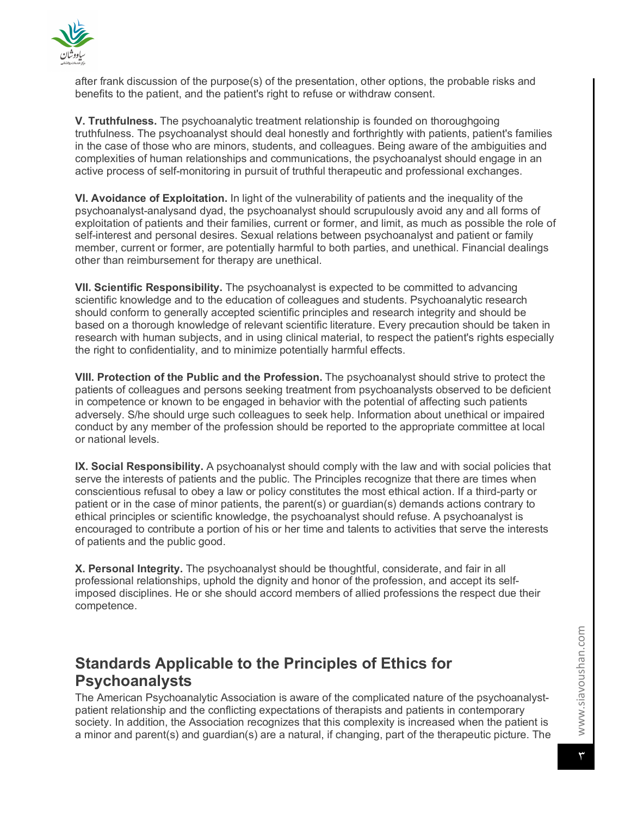

after frank discussion of the purpose(s) of the presentation, other options, the probable risks and benefits to the patient, and the patient's right to refuse or withdraw consent.

**V. Truthfulness.** The psychoanalytic treatment relationship is founded on thoroughgoing truthfulness. The psychoanalyst should deal honestly and forthrightly with patients, patient's families in the case of those who are minors, students, and colleagues. Being aware of the ambiguities and complexities of human relationships and communications, the psychoanalyst should engage in an active process of self-monitoring in pursuit of truthful therapeutic and professional exchanges.

**VI. Avoidance of Exploitation.** In light of the vulnerability of patients and the inequality of the psychoanalyst-analysand dyad, the psychoanalyst should scrupulously avoid any and all forms of exploitation of patients and their families, current or former, and limit, as much as possible the role of self-interest and personal desires. Sexual relations between psychoanalyst and patient or family member, current or former, are potentially harmful to both parties, and unethical. Financial dealings other than reimbursement for therapy are unethical.

**VII. Scientific Responsibility.** The psychoanalyst is expected to be committed to advancing scientific knowledge and to the education of colleagues and students. Psychoanalytic research should conform to generally accepted scientific principles and research integrity and should be based on a thorough knowledge of relevant scientific literature. Every precaution should be taken in research with human subjects, and in using clinical material, to respect the patient's rights especially the right to confidentiality, and to minimize potentially harmful effects.

**VIII. Protection of the Public and the Profession.** The psychoanalyst should strive to protect the patients of colleagues and persons seeking treatment from psychoanalysts observed to be deficient in competence or known to be engaged in behavior with the potential of affecting such patients adversely. S/he should urge such colleagues to seek help. Information about unethical or impaired conduct by any member of the profession should be reported to the appropriate committee at local or national levels.

**IX. Social Responsibility.** A psychoanalyst should comply with the law and with social policies that serve the interests of patients and the public. The Principles recognize that there are times when conscientious refusal to obey a law or policy constitutes the most ethical action. If a third-party or patient or in the case of minor patients, the parent(s) or guardian(s) demands actions contrary to ethical principles or scientific knowledge, the psychoanalyst should refuse. A psychoanalyst is encouraged to contribute a portion of his or her time and talents to activities that serve the interests of patients and the public good.

**X. Personal Integrity.** The psychoanalyst should be thoughtful, considerate, and fair in all professional relationships, uphold the dignity and honor of the profession, and accept its selfimposed disciplines. He or she should accord members of allied professions the respect due their competence.

# **Standards Applicable to the Principles of Ethics for Psychoanalysts**

The American Psychoanalytic Association is aware of the complicated nature of the psychoanalystpatient relationship and the conflicting expectations of therapists and patients in contemporary society. In addition, the Association recognizes that this complexity is increased when the patient is a minor and parent(s) and guardian(s) are a natural, if changing, part of the therapeutic picture. The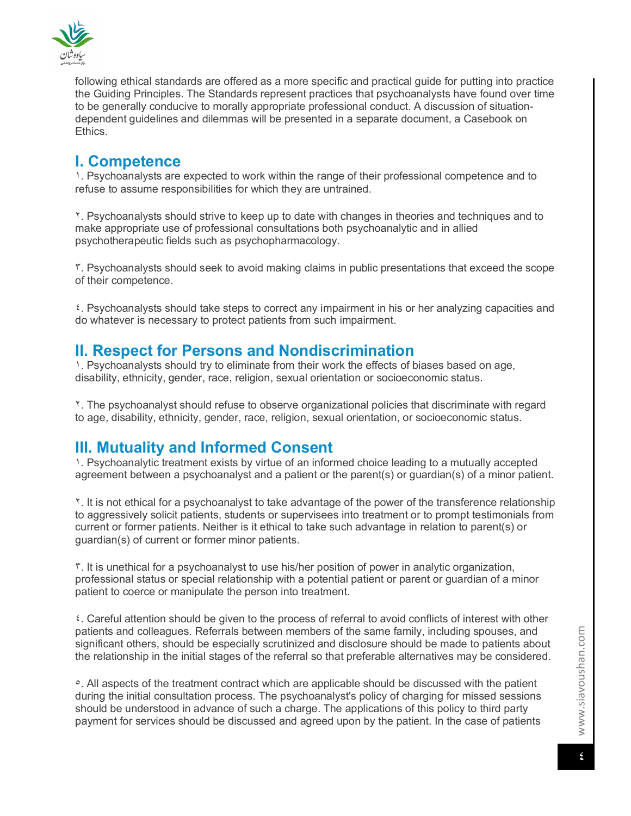

following ethical standards are offered as a more specific and practical guide for putting into practice the Guiding Principles. The Standards represent practices that psychoanalysts have found over time to be generally conducive to morally appropriate professional conduct. A discussion of situationdependent guidelines and dilemmas will be presented in a separate document, a Casebook on Ethics.

# **I. Competence**

١. Psychoanalysts are expected to work within the range of their professional competence and to refuse to assume responsibilities for which they are untrained.

٢. Psychoanalysts should strive to keep up to date with changes in theories and techniques and to make appropriate use of professional consultations both psychoanalytic and in allied psychotherapeutic fields such as psychopharmacology.

٣. Psychoanalysts should seek to avoid making claims in public presentations that exceed the scope of their competence.

٤. Psychoanalysts should take steps to correct any impairment in his or her analyzing capacities and do whatever is necessary to protect patients from such impairment.

### **II. Respect for Persons and Nondiscrimination**

1. Psychoanalysts should try to eliminate from their work the effects of biases based on age, disability, ethnicity, gender, race, religion, sexual orientation or socioeconomic status.

٢. The psychoanalyst should refuse to observe organizational policies that discriminate with regard to age, disability, ethnicity, gender, race, religion, sexual orientation, or socioeconomic status.

# **III. Mutuality and Informed Consent**

١. Psychoanalytic treatment exists by virtue of an informed choice leading to a mutually accepted agreement between a psychoanalyst and a patient or the parent(s) or guardian(s) of a minor patient.

٢. It is not ethical for a psychoanalyst to take advantage of the power of the transference relationship to aggressively solicit patients, students or supervisees into treatment or to prompt testimonials from current or former patients. Neither is it ethical to take such advantage in relation to parent(s) or guardian(s) of current or former minor patients.

٣. It is unethical for a psychoanalyst to use his/her position of power in analytic organization, professional status or special relationship with a potential patient or parent or guardian of a minor patient to coerce or manipulate the person into treatment.

٤. Careful attention should be given to the process of referral to avoid conflicts of interest with other patients and colleagues. Referrals between members of the same family, including spouses, and significant others, should be especially scrutinized and disclosure should be made to patients about the relationship in the initial stages of the referral so that preferable alternatives may be considered.

٥. All aspects of the treatment contract which are applicable should be discussed with the patient during the initial consultation process. The psychoanalyst's policy of charging for missed sessions should be understood in advance of such a charge. The applications of this policy to third party payment for services should be discussed and agreed upon by the patient. In the case of patients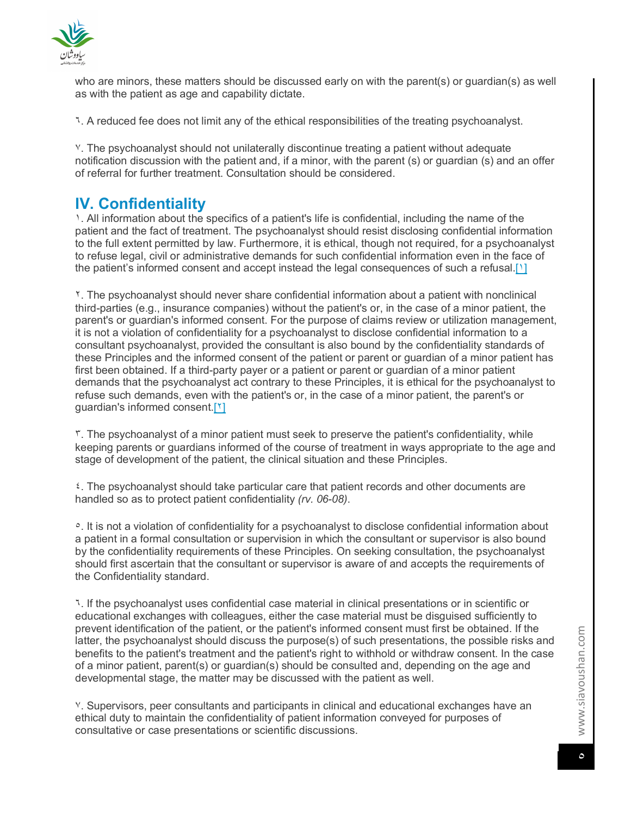

who are minors, these matters should be discussed early on with the parent(s) or guardian(s) as well as with the patient as age and capability dictate.

٦. A reduced fee does not limit any of the ethical responsibilities of the treating psychoanalyst.

٧. The psychoanalyst should not unilaterally discontinue treating a patient without adequate notification discussion with the patient and, if a minor, with the parent (s) or guardian (s) and an offer of referral for further treatment. Consultation should be considered.

# **IV. Confidentiality**

١. All information about the specifics of a patient's life is confidential, including the name of the patient and the fact of treatment. The psychoanalyst should resist disclosing confidential information to the full extent permitted by law. Furthermore, it is ethical, though not required, for a psychoanalyst to refuse legal, civil or administrative demands for such confidential information even in the face of the patient's informed consent and accept instead the legal consequences of such a refusal.[1]

٢. The psychoanalyst should never share confidential information about a patient with nonclinical third-parties (e.g., insurance companies) without the patient's or, in the case of a minor patient, the parent's or guardian's informed consent. For the purpose of claims review or utilization management, it is not a violation of confidentiality for a psychoanalyst to disclose confidential information to a consultant psychoanalyst, provided the consultant is also bound by the confidentiality standards of these Principles and the informed consent of the patient or parent or guardian of a minor patient has first been obtained. If a third-party payer or a patient or parent or guardian of a minor patient demands that the psychoanalyst act contrary to these Principles, it is ethical for the psychoanalyst to refuse such demands, even with the patient's or, in the case of a minor patient, the parent's or guardian's informed consent.[٢]

٣. The psychoanalyst of a minor patient must seek to preserve the patient's confidentiality, while keeping parents or guardians informed of the course of treatment in ways appropriate to the age and stage of development of the patient, the clinical situation and these Principles.

٤. The psychoanalyst should take particular care that patient records and other documents are handled so as to protect patient confidentiality *(rv. 06-08)*.

<sup>o</sup>. It is not a violation of confidentiality for a psychoanalyst to disclose confidential information about a patient in a formal consultation or supervision in which the consultant or supervisor is also bound by the confidentiality requirements of these Principles. On seeking consultation, the psychoanalyst should first ascertain that the consultant or supervisor is aware of and accepts the requirements of the Confidentiality standard.

٦. If the psychoanalyst uses confidential case material in clinical presentations or in scientific or educational exchanges with colleagues, either the case material must be disguised sufficiently to prevent identification of the patient, or the patient's informed consent must first be obtained. If the latter, the psychoanalyst should discuss the purpose(s) of such presentations, the possible risks and benefits to the patient's treatment and the patient's right to withhold or withdraw consent. In the case of a minor patient, parent(s) or guardian(s) should be consulted and, depending on the age and developmental stage, the matter may be discussed with the patient as well.

٧. Supervisors, peer consultants and participants in clinical and educational exchanges have an ethical duty to maintain the confidentiality of patient information conveyed for purposes of consultative or case presentations or scientific discussions.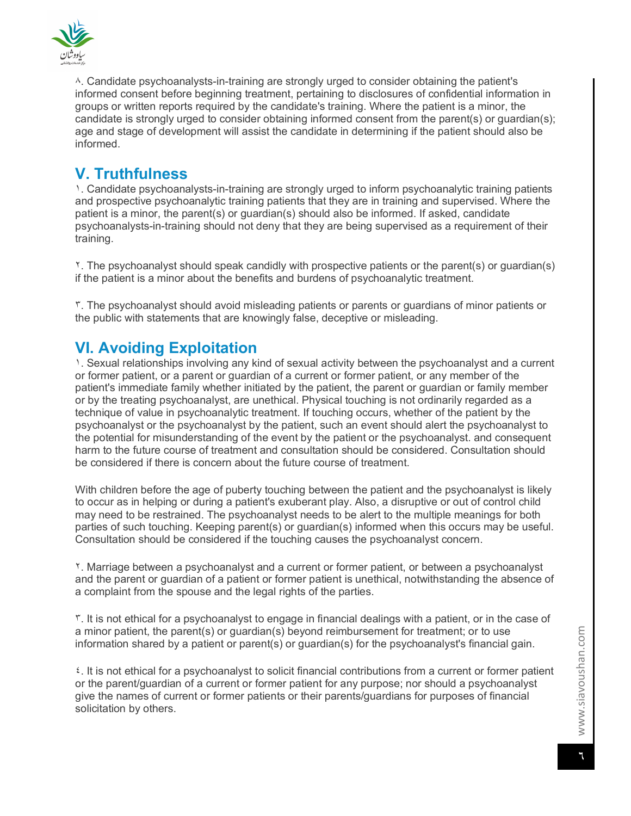

٨. Candidate psychoanalysts-in-training are strongly urged to consider obtaining the patient's informed consent before beginning treatment, pertaining to disclosures of confidential information in groups or written reports required by the candidate's training. Where the patient is a minor, the candidate is strongly urged to consider obtaining informed consent from the parent(s) or guardian(s); age and stage of development will assist the candidate in determining if the patient should also be informed.

# **V. Truthfulness**

١. Candidate psychoanalysts-in-training are strongly urged to inform psychoanalytic training patients and prospective psychoanalytic training patients that they are in training and supervised. Where the patient is a minor, the parent(s) or guardian(s) should also be informed. If asked, candidate psychoanalysts-in-training should not deny that they are being supervised as a requirement of their training.

٢. The psychoanalyst should speak candidly with prospective patients or the parent(s) or guardian(s) if the patient is a minor about the benefits and burdens of psychoanalytic treatment.

٣. The psychoanalyst should avoid misleading patients or parents or guardians of minor patients or the public with statements that are knowingly false, deceptive or misleading.

# **VI. Avoiding Exploitation**

١. Sexual relationships involving any kind of sexual activity between the psychoanalyst and a current or former patient, or a parent or guardian of a current or former patient, or any member of the patient's immediate family whether initiated by the patient, the parent or guardian or family member or by the treating psychoanalyst, are unethical. Physical touching is not ordinarily regarded as a technique of value in psychoanalytic treatment. If touching occurs, whether of the patient by the psychoanalyst or the psychoanalyst by the patient, such an event should alert the psychoanalyst to the potential for misunderstanding of the event by the patient or the psychoanalyst. and consequent harm to the future course of treatment and consultation should be considered. Consultation should be considered if there is concern about the future course of treatment.

With children before the age of puberty touching between the patient and the psychoanalyst is likely to occur as in helping or during a patient's exuberant play. Also, a disruptive or out of control child may need to be restrained. The psychoanalyst needs to be alert to the multiple meanings for both parties of such touching. Keeping parent(s) or guardian(s) informed when this occurs may be useful. Consultation should be considered if the touching causes the psychoanalyst concern.

٢. Marriage between a psychoanalyst and a current or former patient, or between a psychoanalyst and the parent or guardian of a patient or former patient is unethical, notwithstanding the absence of a complaint from the spouse and the legal rights of the parties.

٣. It is not ethical for a psychoanalyst to engage in financial dealings with a patient, or in the case of a minor patient, the parent(s) or guardian(s) beyond reimbursement for treatment; or to use information shared by a patient or parent(s) or guardian(s) for the psychoanalyst's financial gain.

٤. It is not ethical for a psychoanalyst to solicit financial contributions from a current or former patient or the parent/guardian of a current or former patient for any purpose; nor should a psychoanalyst give the names of current or former patients or their parents/guardians for purposes of financial solicitation by others.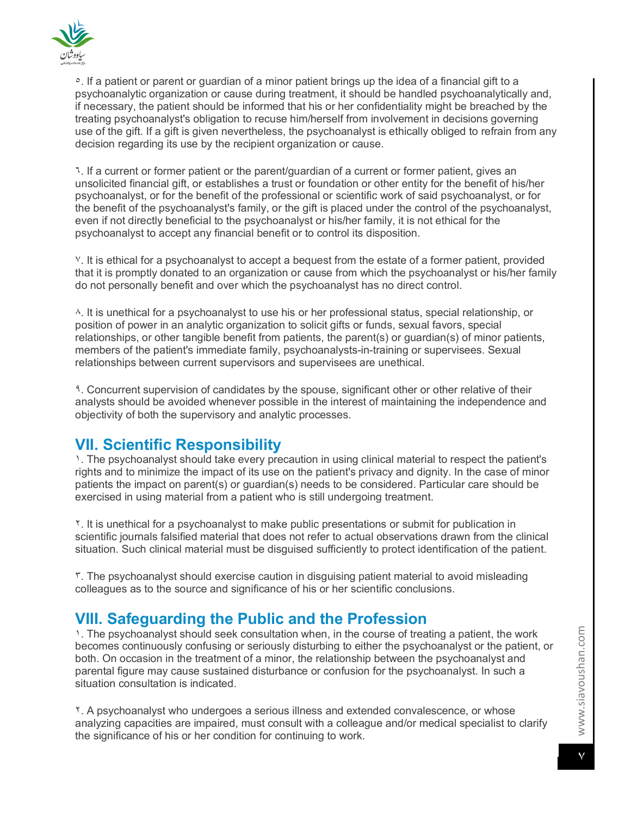

°. If a patient or parent or guardian of a minor patient brings up the idea of a financial gift to a psychoanalytic organization or cause during treatment, it should be handled psychoanalytically and, if necessary, the patient should be informed that his or her confidentiality might be breached by the treating psychoanalyst's obligation to recuse him/herself from involvement in decisions governing use of the gift. If a gift is given nevertheless, the psychoanalyst is ethically obliged to refrain from any decision regarding its use by the recipient organization or cause.

٦. If a current or former patient or the parent/guardian of a current or former patient, gives an unsolicited financial gift, or establishes a trust or foundation or other entity for the benefit of his/her psychoanalyst, or for the benefit of the professional or scientific work of said psychoanalyst, or for the benefit of the psychoanalyst's family, or the gift is placed under the control of the psychoanalyst, even if not directly beneficial to the psychoanalyst or his/her family, it is not ethical for the psychoanalyst to accept any financial benefit or to control its disposition.

٧. It is ethical for a psychoanalyst to accept a bequest from the estate of a former patient, provided that it is promptly donated to an organization or cause from which the psychoanalyst or his/her family do not personally benefit and over which the psychoanalyst has no direct control.

٨. It is unethical for a psychoanalyst to use his or her professional status, special relationship, or position of power in an analytic organization to solicit gifts or funds, sexual favors, special relationships, or other tangible benefit from patients, the parent(s) or guardian(s) of minor patients, members of the patient's immediate family, psychoanalysts-in-training or supervisees. Sexual relationships between current supervisors and supervisees are unethical.

<sup>9</sup>. Concurrent supervision of candidates by the spouse, significant other or other relative of their analysts should be avoided whenever possible in the interest of maintaining the independence and objectivity of both the supervisory and analytic processes.

# **VII. Scientific Responsibility**

١. The psychoanalyst should take every precaution in using clinical material to respect the patient's rights and to minimize the impact of its use on the patient's privacy and dignity. In the case of minor patients the impact on parent(s) or guardian(s) needs to be considered. Particular care should be exercised in using material from a patient who is still undergoing treatment.

٢. It is unethical for a psychoanalyst to make public presentations or submit for publication in scientific journals falsified material that does not refer to actual observations drawn from the clinical situation. Such clinical material must be disguised sufficiently to protect identification of the patient.

٣. The psychoanalyst should exercise caution in disguising patient material to avoid misleading colleagues as to the source and significance of his or her scientific conclusions.

# **VIII. Safeguarding the Public and the Profession**

١. The psychoanalyst should seek consultation when, in the course of treating a patient, the work becomes continuously confusing or seriously disturbing to either the psychoanalyst or the patient, or both. On occasion in the treatment of a minor, the relationship between the psychoanalyst and parental figure may cause sustained disturbance or confusion for the psychoanalyst. In such a situation consultation is indicated.

٢. A psychoanalyst who undergoes a serious illness and extended convalescence, or whose analyzing capacities are impaired, must consult with a colleague and/or medical specialist to clarify the significance of his or her condition for continuing to work.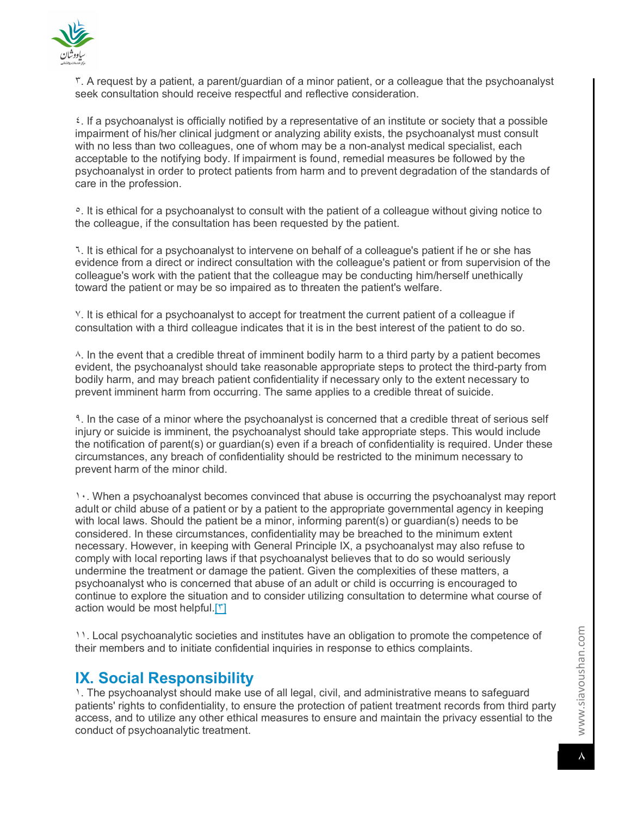

٣. A request by a patient, a parent/guardian of a minor patient, or a colleague that the psychoanalyst seek consultation should receive respectful and reflective consideration.

٤. If a psychoanalyst is officially notified by a representative of an institute or society that a possible impairment of his/her clinical judgment or analyzing ability exists, the psychoanalyst must consult with no less than two colleagues, one of whom may be a non-analyst medical specialist, each acceptable to the notifying body. If impairment is found, remedial measures be followed by the psychoanalyst in order to protect patients from harm and to prevent degradation of the standards of care in the profession.

<sup>o</sup>. It is ethical for a psychoanalyst to consult with the patient of a colleague without giving notice to the colleague, if the consultation has been requested by the patient.

٦. It is ethical for a psychoanalyst to intervene on behalf of a colleague's patient if he or she has evidence from a direct or indirect consultation with the colleague's patient or from supervision of the colleague's work with the patient that the colleague may be conducting him/herself unethically toward the patient or may be so impaired as to threaten the patient's welfare.

٧. It is ethical for a psychoanalyst to accept for treatment the current patient of a colleague if consultation with a third colleague indicates that it is in the best interest of the patient to do so.

٨. In the event that a credible threat of imminent bodily harm to a third party by a patient becomes evident, the psychoanalyst should take reasonable appropriate steps to protect the third-party from bodily harm, and may breach patient confidentiality if necessary only to the extent necessary to prevent imminent harm from occurring. The same applies to a credible threat of suicide.

٩. In the case of a minor where the psychoanalyst is concerned that a credible threat of serious self injury or suicide is imminent, the psychoanalyst should take appropriate steps. This would include the notification of parent(s) or guardian(s) even if a breach of confidentiality is required. Under these circumstances, any breach of confidentiality should be restricted to the minimum necessary to prevent harm of the minor child.

١٠. When a psychoanalyst becomes convinced that abuse is occurring the psychoanalyst may report adult or child abuse of a patient or by a patient to the appropriate governmental agency in keeping with local laws. Should the patient be a minor, informing parent(s) or guardian(s) needs to be considered. In these circumstances, confidentiality may be breached to the minimum extent necessary. However, in keeping with General Principle IX, a psychoanalyst may also refuse to comply with local reporting laws if that psychoanalyst believes that to do so would seriously undermine the treatment or damage the patient. Given the complexities of these matters, a psychoanalyst who is concerned that abuse of an adult or child is occurring is encouraged to continue to explore the situation and to consider utilizing consultation to determine what course of action would be most helpful.[٣]

١١. Local psychoanalytic societies and institutes have an obligation to promote the competence of their members and to initiate confidential inquiries in response to ethics complaints.

### **IX. Social Responsibility**

1. The psychoanalyst should make use of all legal, civil, and administrative means to safeguard patients' rights to confidentiality, to ensure the protection of patient treatment records from third party access, and to utilize any other ethical measures to ensure and maintain the privacy essential to the conduct of psychoanalytic treatment.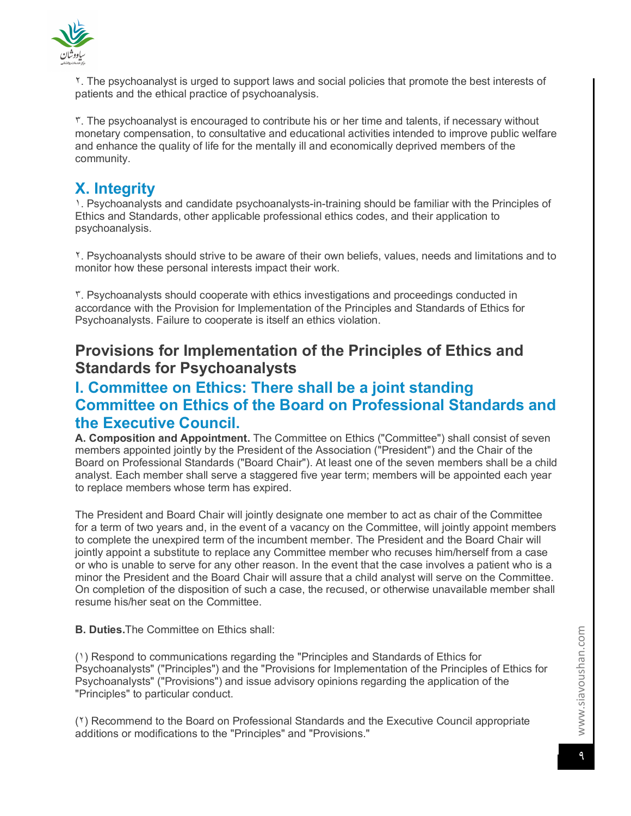

٢. The psychoanalyst is urged to support laws and social policies that promote the best interests of patients and the ethical practice of psychoanalysis.

٣. The psychoanalyst is encouraged to contribute his or her time and talents, if necessary without monetary compensation, to consultative and educational activities intended to improve public welfare and enhance the quality of life for the mentally ill and economically deprived members of the community.

# **X. Integrity**

١. Psychoanalysts and candidate psychoanalysts-in-training should be familiar with the Principles of Ethics and Standards, other applicable professional ethics codes, and their application to psychoanalysis.

٢. Psychoanalysts should strive to be aware of their own beliefs, values, needs and limitations and to monitor how these personal interests impact their work.

٣. Psychoanalysts should cooperate with ethics investigations and proceedings conducted in accordance with the Provision for Implementation of the Principles and Standards of Ethics for Psychoanalysts. Failure to cooperate is itself an ethics violation.

# **Provisions for Implementation of the Principles of Ethics and Standards for Psychoanalysts**

# **I. Committee on Ethics: There shall be a joint standing Committee on Ethics of the Board on Professional Standards and the Executive Council.**

**A. Composition and Appointment.** The Committee on Ethics ("Committee") shall consist of seven members appointed jointly by the President of the Association ("President") and the Chair of the Board on Professional Standards ("Board Chair"). At least one of the seven members shall be a child analyst. Each member shall serve a staggered five year term; members will be appointed each year to replace members whose term has expired.

The President and Board Chair will jointly designate one member to act as chair of the Committee for a term of two years and, in the event of a vacancy on the Committee, will jointly appoint members to complete the unexpired term of the incumbent member. The President and the Board Chair will jointly appoint a substitute to replace any Committee member who recuses him/herself from a case or who is unable to serve for any other reason. In the event that the case involves a patient who is a minor the President and the Board Chair will assure that a child analyst will serve on the Committee. On completion of the disposition of such a case, the recused, or otherwise unavailable member shall resume his/her seat on the Committee.

**B. Duties.**The Committee on Ethics shall:

(١) Respond to communications regarding the "Principles and Standards of Ethics for Psychoanalysts" ("Principles") and the "Provisions for Implementation of the Principles of Ethics for Psychoanalysts" ("Provisions") and issue advisory opinions regarding the application of the "Principles" to particular conduct.

(٢) Recommend to the Board on Professional Standards and the Executive Council appropriate additions or modifications to the "Principles" and "Provisions."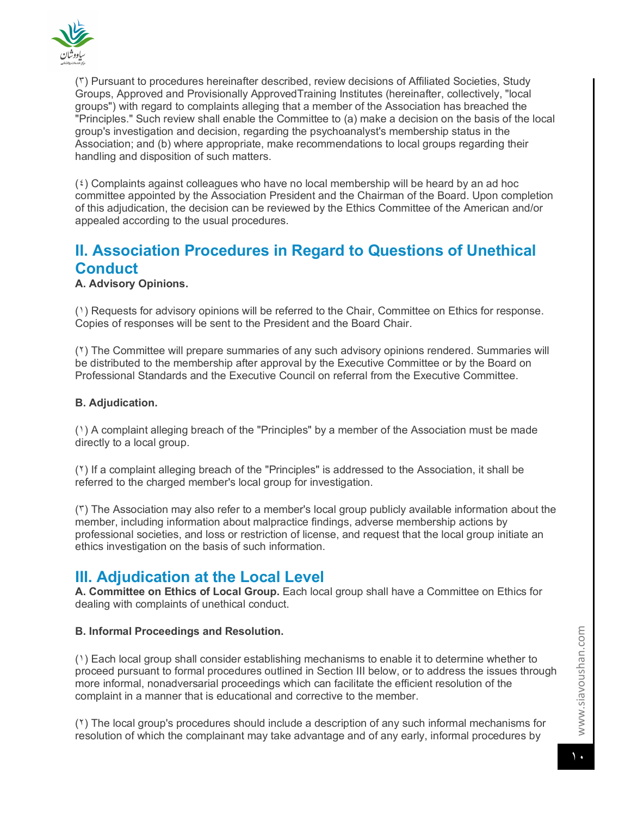

(٣) Pursuant to procedures hereinafter described, review decisions of Affiliated Societies, Study Groups, Approved and Provisionally ApprovedTraining Institutes (hereinafter, collectively, "local groups") with regard to complaints alleging that a member of the Association has breached the "Principles." Such review shall enable the Committee to (a) make a decision on the basis of the local group's investigation and decision, regarding the psychoanalyst's membership status in the Association; and (b) where appropriate, make recommendations to local groups regarding their handling and disposition of such matters.

(٤) Complaints against colleagues who have no local membership will be heard by an ad hoc committee appointed by the Association President and the Chairman of the Board. Upon completion of this adjudication, the decision can be reviewed by the Ethics Committee of the American and/or appealed according to the usual procedures.

# **II. Association Procedures in Regard to Questions of Unethical Conduct**

### **A. Advisory Opinions.**

(١) Requests for advisory opinions will be referred to the Chair, Committee on Ethics for response. Copies of responses will be sent to the President and the Board Chair.

(٢) The Committee will prepare summaries of any such advisory opinions rendered. Summaries will be distributed to the membership after approval by the Executive Committee or by the Board on Professional Standards and the Executive Council on referral from the Executive Committee.

#### **B. Adjudication.**

(١) A complaint alleging breach of the "Principles" by a member of the Association must be made directly to a local group.

(٢) If a complaint alleging breach of the "Principles" is addressed to the Association, it shall be referred to the charged member's local group for investigation.

(٣) The Association may also refer to a member's local group publicly available information about the member, including information about malpractice findings, adverse membership actions by professional societies, and loss or restriction of license, and request that the local group initiate an ethics investigation on the basis of such information.

### **III. Adjudication at the Local Level**

**A. Committee on Ethics of Local Group.** Each local group shall have a Committee on Ethics for dealing with complaints of unethical conduct.

#### **B. Informal Proceedings and Resolution.**

(١) Each local group shall consider establishing mechanisms to enable it to determine whether to proceed pursuant to formal procedures outlined in Section III below, or to address the issues through more informal, nonadversarial proceedings which can facilitate the efficient resolution of the complaint in a manner that is educational and corrective to the member.

(٢) The local group's procedures should include a description of any such informal mechanisms for resolution of which the complainant may take advantage and of any early, informal procedures by

www.siavoushan.com www.siavoushan.com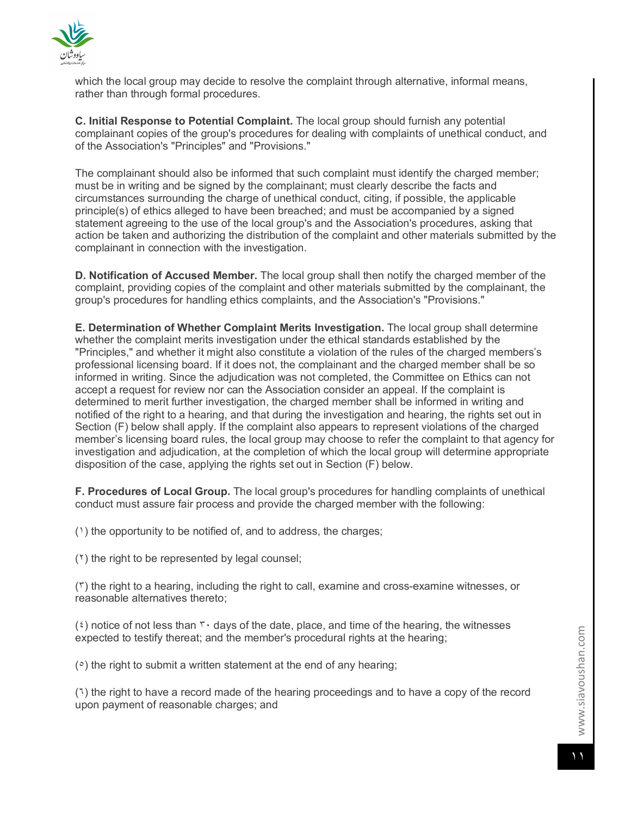

which the local group may decide to resolve the complaint through alternative, informal means, rather than through formal procedures.

**C. Initial Response to Potential Complaint.** The local group should furnish any potential complainant copies of the group's procedures for dealing with complaints of unethical conduct, and of the Association's "Principles" and "Provisions."

The complainant should also be informed that such complaint must identify the charged member; must be in writing and be signed by the complainant; must clearly describe the facts and circumstances surrounding the charge of unethical conduct, citing, if possible, the applicable principle(s) of ethics alleged to have been breached; and must be accompanied by a signed statement agreeing to the use of the local group's and the Association's procedures, asking that action be taken and authorizing the distribution of the complaint and other materials submitted by the complainant in connection with the investigation.

**D. Notification of Accused Member.** The local group shall then notify the charged member of the complaint, providing copies of the complaint and other materials submitted by the complainant, the group's procedures for handling ethics complaints, and the Association's "Provisions."

**E. Determination of Whether Complaint Merits Investigation.** The local group shall determine whether the complaint merits investigation under the ethical standards established by the "Principles," and whether it might also constitute a violation of the rules of the charged members's professional licensing board. If it does not, the complainant and the charged member shall be so informed in writing. Since the adjudication was not completed, the Committee on Ethics can not accept a request for review nor can the Association consider an appeal. If the complaint is determined to merit further investigation, the charged member shall be informed in writing and notified of the right to a hearing, and that during the investigation and hearing, the rights set out in Section (F) below shall apply. If the complaint also appears to represent violations of the charged member's licensing board rules, the local group may choose to refer the complaint to that agency for investigation and adjudication, at the completion of which the local group will determine appropriate disposition of the case, applying the rights set out in Section (F) below.

**F. Procedures of Local Group.** The local group's procedures for handling complaints of unethical conduct must assure fair process and provide the charged member with the following:

(١) the opportunity to be notified of, and to address, the charges;

(٢) the right to be represented by legal counsel;

(٣) the right to a hearing, including the right to call, examine and cross-examine witnesses, or reasonable alternatives thereto;

 $(5)$  notice of not less than  $\mathbf{r} \cdot$  days of the date, place, and time of the hearing, the witnesses expected to testify thereat; and the member's procedural rights at the hearing;

(٥) the right to submit a written statement at the end of any hearing;

(٦) the right to have a record made of the hearing proceedings and to have a copy of the record upon payment of reasonable charges; and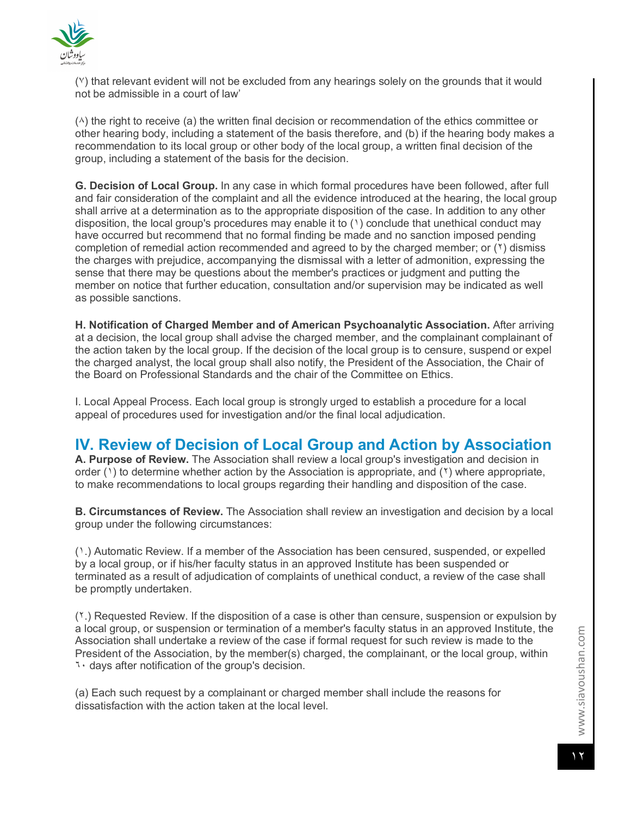

(٧) that relevant evident will not be excluded from any hearings solely on the grounds that it would not be admissible in a court of law'

(٨) the right to receive (a) the written final decision or recommendation of the ethics committee or other hearing body, including a statement of the basis therefore, and (b) if the hearing body makes a recommendation to its local group or other body of the local group, a written final decision of the group, including a statement of the basis for the decision.

**G. Decision of Local Group.** In any case in which formal procedures have been followed, after full and fair consideration of the complaint and all the evidence introduced at the hearing, the local group shall arrive at a determination as to the appropriate disposition of the case. In addition to any other disposition, the local group's procedures may enable it to  $(1)$  conclude that unethical conduct may have occurred but recommend that no formal finding be made and no sanction imposed pending completion of remedial action recommended and agreed to by the charged member; or (٢) dismiss the charges with prejudice, accompanying the dismissal with a letter of admonition, expressing the sense that there may be questions about the member's practices or judgment and putting the member on notice that further education, consultation and/or supervision may be indicated as well as possible sanctions.

**H. Notification of Charged Member and of American Psychoanalytic Association.** After arriving at a decision, the local group shall advise the charged member, and the complainant complainant of the action taken by the local group. If the decision of the local group is to censure, suspend or expel the charged analyst, the local group shall also notify, the President of the Association, the Chair of the Board on Professional Standards and the chair of the Committee on Ethics.

I. Local Appeal Process. Each local group is strongly urged to establish a procedure for a local appeal of procedures used for investigation and/or the final local adjudication.

# **IV. Review of Decision of Local Group and Action by Association**

**A. Purpose of Review.** The Association shall review a local group's investigation and decision in order (1) to determine whether action by the Association is appropriate, and (1) where appropriate, to make recommendations to local groups regarding their handling and disposition of the case.

**B. Circumstances of Review.** The Association shall review an investigation and decision by a local group under the following circumstances:

(١.) Automatic Review. If a member of the Association has been censured, suspended, or expelled by a local group, or if his/her faculty status in an approved Institute has been suspended or terminated as a result of adjudication of complaints of unethical conduct, a review of the case shall be promptly undertaken.

(٢.) Requested Review. If the disposition of a case is other than censure, suspension or expulsion by a local group, or suspension or termination of a member's faculty status in an approved Institute, the Association shall undertake a review of the case if formal request for such review is made to the President of the Association, by the member(s) charged, the complainant, or the local group, within ٦٠ days after notification of the group's decision.

(a) Each such request by a complainant or charged member shall include the reasons for dissatisfaction with the action taken at the local level.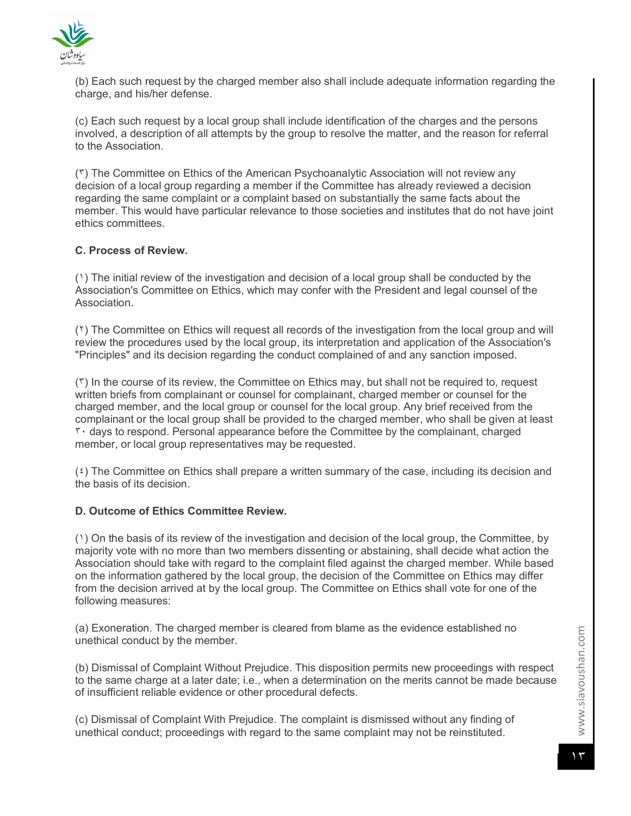

(b) Each such request by the charged member also shall include adequate information regarding the charge, and his/her defense.

(c) Each such request by a local group shall include identification of the charges and the persons involved, a description of all attempts by the group to resolve the matter, and the reason for referral to the Association.

(٣) The Committee on Ethics of the American Psychoanalytic Association will not review any decision of a local group regarding a member if the Committee has already reviewed a decision regarding the same complaint or a complaint based on substantially the same facts about the member. This would have particular relevance to those societies and institutes that do not have joint ethics committees.

#### **C. Process of Review.**

(١) The initial review of the investigation and decision of a local group shall be conducted by the Association's Committee on Ethics, which may confer with the President and legal counsel of the Association.

(٢) The Committee on Ethics will request all records of the investigation from the local group and will review the procedures used by the local group, its interpretation and application of the Association's "Principles" and its decision regarding the conduct complained of and any sanction imposed.

(٣) In the course of its review, the Committee on Ethics may, but shall not be required to, request written briefs from complainant or counsel for complainant, charged member or counsel for the charged member, and the local group or counsel for the local group. Any brief received from the complainant or the local group shall be provided to the charged member, who shall be given at least ٣٠ days to respond. Personal appearance before the Committee by the complainant, charged member, or local group representatives may be requested.

(٤) The Committee on Ethics shall prepare a written summary of the case, including its decision and the basis of its decision.

#### **D. Outcome of Ethics Committee Review.**

(١) On the basis of its review of the investigation and decision of the local group, the Committee, by majority vote with no more than two members dissenting or abstaining, shall decide what action the Association should take with regard to the complaint filed against the charged member. While based on the information gathered by the local group, the decision of the Committee on Ethics may differ from the decision arrived at by the local group. The Committee on Ethics shall vote for one of the following measures:

(a) Exoneration. The charged member is cleared from blame as the evidence established no unethical conduct by the member.

(b) Dismissal of Complaint Without Prejudice. This disposition permits new proceedings with respect to the same charge at a later date; i.e., when a determination on the merits cannot be made because of insufficient reliable evidence or other procedural defects.

(c) Dismissal of Complaint With Prejudice. The complaint is dismissed without any finding of unethical conduct; proceedings with regard to the same complaint may not be reinstituted.